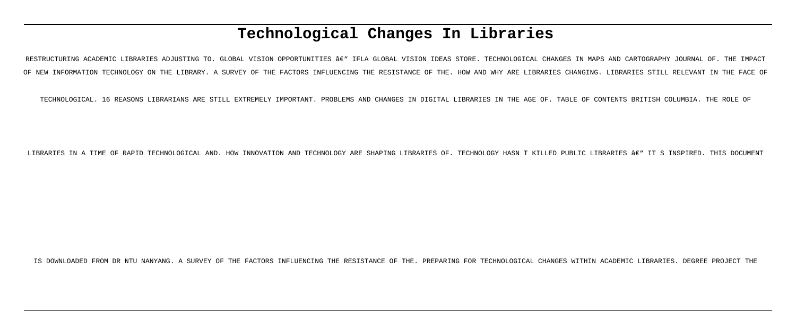# **Technological Changes In Libraries**

RESTRUCTURING ACADEMIC LIBRARIES ADJUSTING TO. GLOBAL VISION OPPORTUNITIES â€" IFLA GLOBAL VISION IDEAS STORE. TECHNOLOGICAL CHANGES IN MAPS AND CARTOGRAPHY JOURNAL OF. THE IMPACT OF NEW INFORMATION TECHNOLOGY ON THE LIBRARY. A SURVEY OF THE FACTORS INFLUENCING THE RESISTANCE OF THE. HOW AND WHY ARE LIBRARIES CHANGING. LIBRARIES STILL RELEVANT IN THE FACE OF

TECHNOLOGICAL. 16 REASONS LIBRARIANS ARE STILL EXTREMELY IMPORTANT. PROBLEMS AND CHANGES IN DIGITAL LIBRARIES IN THE AGE OF. TABLE OF CONTENTS BRITISH COLUMBIA. THE ROLE OF

LIBRARIES IN A TIME OF RAPID TECHNOLOGICAL AND. HOW INNOVATION AND TECHNOLOGY ARE SHAPING LIBRARIES OF. TECHNOLOGY HASN T KILLED PUBLIC LIBRARIES  $\hat{a}\in \mathbb{T}$  it s inspired. This document

IS DOWNLOADED FROM DR NTU NANYANG. A SURVEY OF THE FACTORS INFLUENCING THE RESISTANCE OF THE. PREPARING FOR TECHNOLOGICAL CHANGES WITHIN ACADEMIC LIBRARIES. DEGREE PROJECT THE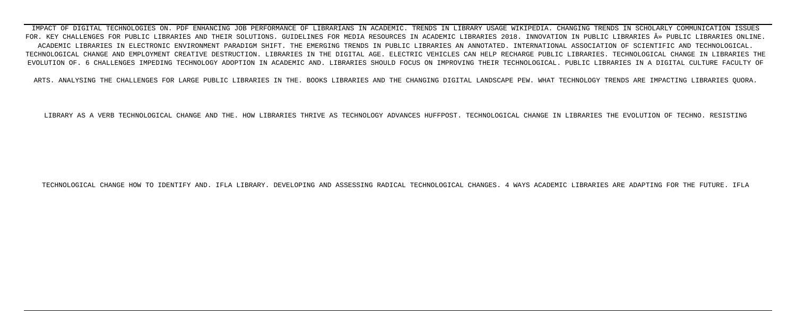IMPACT OF DIGITAL TECHNOLOGIES ON. PDF ENHANCING JOB PERFORMANCE OF LIBRARIANS IN ACADEMIC. TRENDS IN LIBRARY USAGE WIKIPEDIA. CHANGING TRENDS IN SCHOLARLY COMMUNICATION ISSUES FOR. KEY CHALLENGES FOR PUBLIC LIBRARIES AND THEIR SOLUTIONS. GUIDELINES FOR MEDIA RESOURCES IN ACADEMIC LIBRARIES 2018. INNOVATION IN PUBLIC LIBRARIES » PUBLIC LIBRARIES ONLINE. ACADEMIC LIBRARIES IN ELECTRONIC ENVIRONMENT PARADIGM SHIFT. THE EMERGING TRENDS IN PUBLIC LIBRARIES AN ANNOTATED. INTERNATIONAL ASSOCIATION OF SCIENTIFIC AND TECHNOLOGICAL. TECHNOLOGICAL CHANGE AND EMPLOYMENT CREATIVE DESTRUCTION. LIBRARIES IN THE DIGITAL AGE. ELECTRIC VEHICLES CAN HELP RECHARGE PUBLIC LIBRARIES. TECHNOLOGICAL CHANGE IN LIBRARIES THE EVOLUTION OF. 6 CHALLENGES IMPEDING TECHNOLOGY ADOPTION IN ACADEMIC AND. LIBRARIES SHOULD FOCUS ON IMPROVING THEIR TECHNOLOGICAL. PUBLIC LIBRARIES IN A DIGITAL CULTURE FACULTY OF

ARTS. ANALYSING THE CHALLENGES FOR LARGE PUBLIC LIBRARIES IN THE. BOOKS LIBRARIES AND THE CHANGING DIGITAL LANDSCAPE PEW. WHAT TECHNOLOGY TRENDS ARE IMPACTING LIBRARIES QUORA.

LIBRARY AS A VERB TECHNOLOGICAL CHANGE AND THE. HOW LIBRARIES THRIVE AS TECHNOLOGY ADVANCES HUFFPOST. TECHNOLOGICAL CHANGE IN LIBRARIES THE EVOLUTION OF TECHNO. RESISTING

TECHNOLOGICAL CHANGE HOW TO IDENTIFY AND. IFLA LIBRARY. DEVELOPING AND ASSESSING RADICAL TECHNOLOGICAL CHANGES. 4 WAYS ACADEMIC LIBRARIES ARE ADAPTING FOR THE FUTURE. IFLA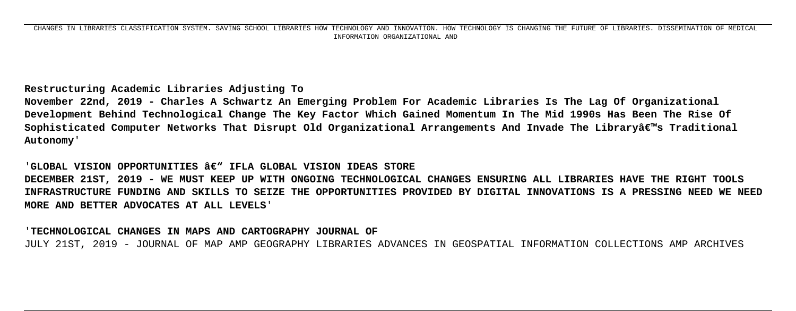**Restructuring Academic Libraries Adjusting To**

**November 22nd, 2019 - Charles A Schwartz An Emerging Problem For Academic Libraries Is The Lag Of Organizational Development Behind Technological Change The Key Factor Which Gained Momentum In The Mid 1990s Has Been The Rise Of Sophisticated Computer Networks That Disrupt Old Organizational Arrangements And Invade The Library's Traditional Autonomy**'

**'GLOBAL VISION OPPORTUNITIES**  $\hat{\mathbf{a}} \in \mathbb{N}$  **ifla GLOBAL VISION IDEAS STORE DECEMBER 21ST, 2019 - WE MUST KEEP UP WITH ONGOING TECHNOLOGICAL CHANGES ENSURING ALL LIBRARIES HAVE THE RIGHT TOOLS INFRASTRUCTURE FUNDING AND SKILLS TO SEIZE THE OPPORTUNITIES PROVIDED BY DIGITAL INNOVATIONS IS A PRESSING NEED WE NEED MORE AND BETTER ADVOCATES AT ALL LEVELS**'

'**TECHNOLOGICAL CHANGES IN MAPS AND CARTOGRAPHY JOURNAL OF** JULY 21ST, 2019 - JOURNAL OF MAP AMP GEOGRAPHY LIBRARIES ADVANCES IN GEOSPATIAL INFORMATION COLLECTIONS AMP ARCHIVES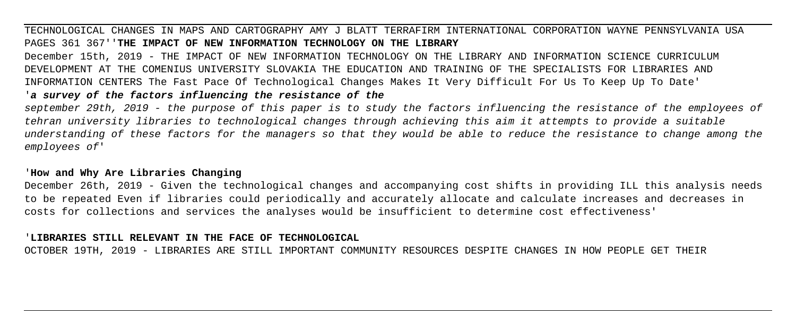# TECHNOLOGICAL CHANGES IN MAPS AND CARTOGRAPHY AMY J BLATT TERRAFIRM INTERNATIONAL CORPORATION WAYNE PENNSYLVANIA USA PAGES 361 367''**THE IMPACT OF NEW INFORMATION TECHNOLOGY ON THE LIBRARY**

December 15th, 2019 - THE IMPACT OF NEW INFORMATION TECHNOLOGY ON THE LIBRARY AND INFORMATION SCIENCE CURRICULUM DEVELOPMENT AT THE COMENIUS UNIVERSITY SLOVAKIA THE EDUCATION AND TRAINING OF THE SPECIALISTS FOR LIBRARIES AND INFORMATION CENTERS The Fast Pace Of Technological Changes Makes It Very Difficult For Us To Keep Up To Date' '**a survey of the factors influencing the resistance of the**

# september 29th, 2019 - the purpose of this paper is to study the factors influencing the resistance of the employees of tehran university libraries to technological changes through achieving this aim it attempts to provide a suitable understanding of these factors for the managers so that they would be able to reduce the resistance to change among the employees of'

# '**How and Why Are Libraries Changing**

December 26th, 2019 - Given the technological changes and accompanying cost shifts in providing ILL this analysis needs to be repeated Even if libraries could periodically and accurately allocate and calculate increases and decreases in costs for collections and services the analyses would be insufficient to determine cost effectiveness'

## '**LIBRARIES STILL RELEVANT IN THE FACE OF TECHNOLOGICAL**

OCTOBER 19TH, 2019 - LIBRARIES ARE STILL IMPORTANT COMMUNITY RESOURCES DESPITE CHANGES IN HOW PEOPLE GET THEIR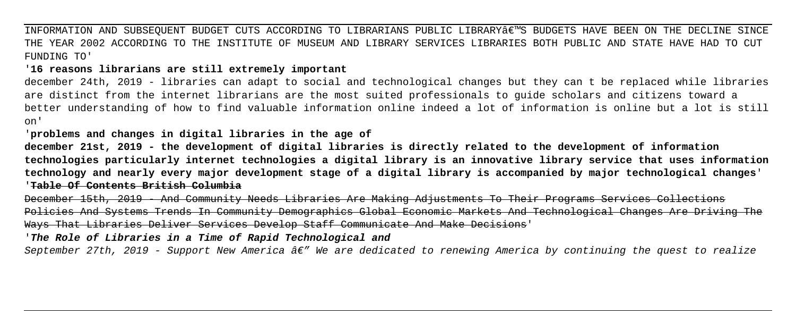INFORMATION AND SUBSEQUENT BUDGET CUTS ACCORDING TO LIBRARIANS PUBLIC LIBRARY€™S BUDGETS HAVE BEEN ON THE DECLINE SINCE THE YEAR 2002 ACCORDING TO THE INSTITUTE OF MUSEUM AND LIBRARY SERVICES LIBRARIES BOTH PUBLIC AND STATE HAVE HAD TO CUT FUNDING TO'

'**16 reasons librarians are still extremely important**

december 24th, 2019 - libraries can adapt to social and technological changes but they can t be replaced while libraries are distinct from the internet librarians are the most suited professionals to guide scholars and citizens toward a better understanding of how to find valuable information online indeed a lot of information is online but a lot is still on'

'**problems and changes in digital libraries in the age of**

**december 21st, 2019 - the development of digital libraries is directly related to the development of information technologies particularly internet technologies a digital library is an innovative library service that uses information technology and nearly every major development stage of a digital library is accompanied by major technological changes**' '**Table Of Contents British Columbia**

December 15th, 2019 - And Community Needs Libraries Are Making Adjustments To Their Programs Services Collections Policies And Systems Trends In Community Demographics Global Economic Markets And Technological Changes Are Driving The Ways That Libraries Deliver Services Develop Staff Communicate And Make Decisions'

'**The Role of Libraries in a Time of Rapid Technological and**

September 27th, 2019 - Support New America  $\hat{a} \epsilon^w$  We are dedicated to renewing America by continuing the quest to realize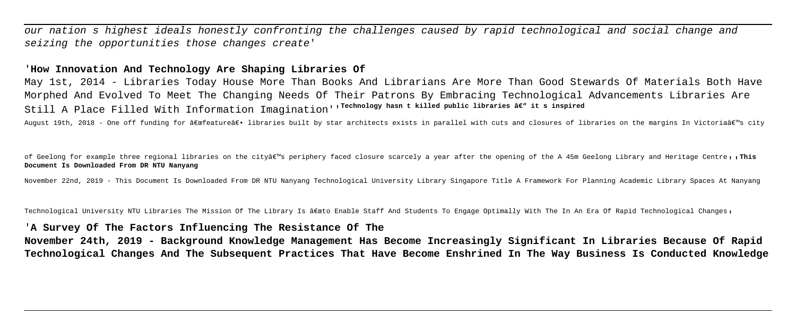our nation s highest ideals honestly confronting the challenges caused by rapid technological and social change and seizing the opportunities those changes create'

# '**How Innovation And Technology Are Shaping Libraries Of**

May 1st, 2014 - Libraries Today House More Than Books And Librarians Are More Than Good Stewards Of Materials Both Have Morphed And Evolved To Meet The Changing Needs Of Their Patrons By Embracing Technological Advancements Libraries Are Still A Place Filled With Information Imagination'<sup>'</sup><sup>Technology hasn t killed public libraries âer it s inspired</sup>

August 19th, 2018 - One off funding for "featureâ€. libraries built by star architects exists in parallel with cuts and closures of libraries on the margins In Victoria's city

of Geelong for example three regional libraries on the cityâ<sup>em</sup>s periphery faced closure scarcely a year after the opening of the A 45m Geelong Library and Heritage Centre, , This **Document Is Downloaded From DR NTU Nanyang**

November 22nd, 2019 - This Document Is Downloaded From DR NTU Nanyang Technological University Library Singapore Title A Framework For Planning Academic Library Spaces At Nanyang

Technological University NTU Libraries The Mission Of The Library Is "to Enable Staff And Students To Engage Optimally With The In An Era Of Rapid Technological Changes,

## '**A Survey Of The Factors Influencing The Resistance Of The**

**November 24th, 2019 - Background Knowledge Management Has Become Increasingly Significant In Libraries Because Of Rapid Technological Changes And The Subsequent Practices That Have Become Enshrined In The Way Business Is Conducted Knowledge**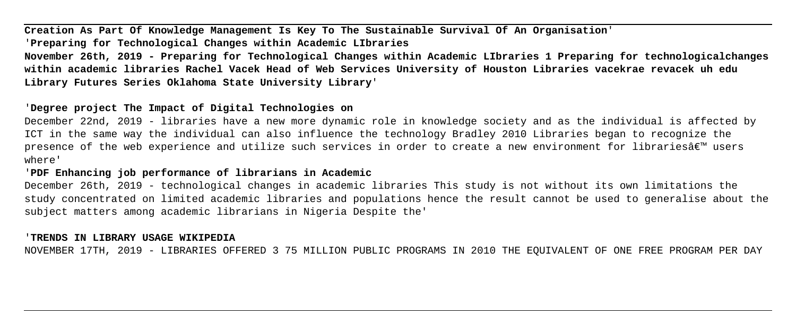**Creation As Part Of Knowledge Management Is Key To The Sustainable Survival Of An Organisation**' '**Preparing for Technological Changes within Academic LIbraries**

**November 26th, 2019 - Preparing for Technological Changes within Academic LIbraries 1 Preparing for technologicalchanges within academic libraries Rachel Vacek Head of Web Services University of Houston Libraries vacekrae revacek uh edu Library Futures Series Oklahoma State University Library**'

# '**Degree project The Impact of Digital Technologies on**

December 22nd, 2019 - libraries have a new more dynamic role in knowledge society and as the individual is affected by ICT in the same way the individual can also influence the technology Bradley 2010 Libraries began to recognize the presence of the web experience and utilize such services in order to create a new environment for libraries $\hat{\mathfrak{g}}\in\mathbb{M}$  users where'

# '**PDF Enhancing job performance of librarians in Academic**

December 26th, 2019 - technological changes in academic libraries This study is not without its own limitations the study concentrated on limited academic libraries and populations hence the result cannot be used to generalise about the subject matters among academic librarians in Nigeria Despite the'

## '**TRENDS IN LIBRARY USAGE WIKIPEDIA**

NOVEMBER 17TH, 2019 - LIBRARIES OFFERED 3 75 MILLION PUBLIC PROGRAMS IN 2010 THE EQUIVALENT OF ONE FREE PROGRAM PER DAY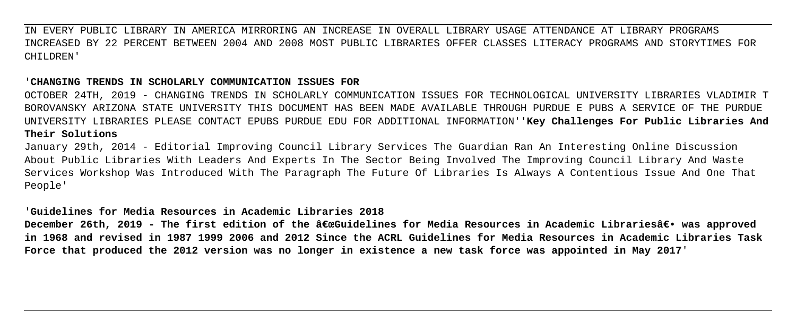IN EVERY PUBLIC LIBRARY IN AMERICA MIRRORING AN INCREASE IN OVERALL LIBRARY USAGE ATTENDANCE AT LIBRARY PROGRAMS INCREASED BY 22 PERCENT BETWEEN 2004 AND 2008 MOST PUBLIC LIBRARIES OFFER CLASSES LITERACY PROGRAMS AND STORYTIMES FOR CHILDREN'

### '**CHANGING TRENDS IN SCHOLARLY COMMUNICATION ISSUES FOR**

OCTOBER 24TH, 2019 - CHANGING TRENDS IN SCHOLARLY COMMUNICATION ISSUES FOR TECHNOLOGICAL UNIVERSITY LIBRARIES VLADIMIR T BOROVANSKY ARIZONA STATE UNIVERSITY THIS DOCUMENT HAS BEEN MADE AVAILABLE THROUGH PURDUE E PUBS A SERVICE OF THE PURDUE UNIVERSITY LIBRARIES PLEASE CONTACT EPUBS PURDUE EDU FOR ADDITIONAL INFORMATION''**Key Challenges For Public Libraries And Their Solutions**

January 29th, 2014 - Editorial Improving Council Library Services The Guardian Ran An Interesting Online Discussion About Public Libraries With Leaders And Experts In The Sector Being Involved The Improving Council Library And Waste Services Workshop Was Introduced With The Paragraph The Future Of Libraries Is Always A Contentious Issue And One That People'

# '**Guidelines for Media Resources in Academic Libraries 2018**

December 26th, 2019 - The first edition of the "Guidelines for Media Resources in Academic Librariesâ€. was approved **in 1968 and revised in 1987 1999 2006 and 2012 Since the ACRL Guidelines for Media Resources in Academic Libraries Task Force that produced the 2012 version was no longer in existence a new task force was appointed in May 2017**'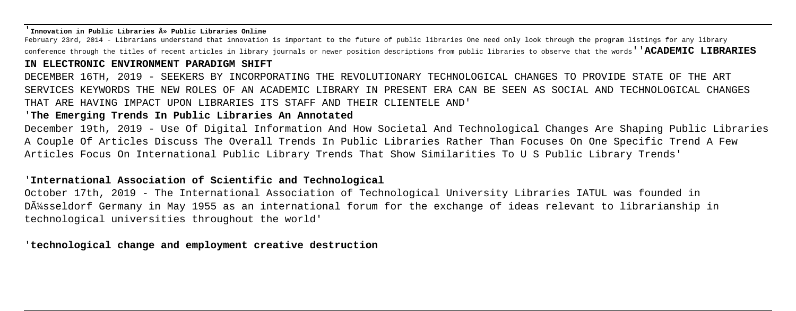#### '**Innovation in Public Libraries » Public Libraries Online**

February 23rd, 2014 - Librarians understand that innovation is important to the future of public libraries One need only look through the program listings for any library conference through the titles of recent articles in library journals or newer position descriptions from public libraries to observe that the words''**ACADEMIC LIBRARIES**

### **IN ELECTRONIC ENVIRONMENT PARADIGM SHIFT**

DECEMBER 16TH, 2019 - SEEKERS BY INCORPORATING THE REVOLUTIONARY TECHNOLOGICAL CHANGES TO PROVIDE STATE OF THE ART SERVICES KEYWORDS THE NEW ROLES OF AN ACADEMIC LIBRARY IN PRESENT ERA CAN BE SEEN AS SOCIAL AND TECHNOLOGICAL CHANGES THAT ARE HAVING IMPACT UPON LIBRARIES ITS STAFF AND THEIR CLIENTELE AND'

### '**The Emerging Trends In Public Libraries An Annotated**

December 19th, 2019 - Use Of Digital Information And How Societal And Technological Changes Are Shaping Public Libraries A Couple Of Articles Discuss The Overall Trends In Public Libraries Rather Than Focuses On One Specific Trend A Few Articles Focus On International Public Library Trends That Show Similarities To U S Public Library Trends'

# '**International Association of Scientific and Technological**

October 17th, 2019 - The International Association of Technological University Libraries IATUL was founded in DA<sup>1</sup>/sseldorf Germany in May 1955 as an international forum for the exchange of ideas relevant to librarianship in technological universities throughout the world'

'**technological change and employment creative destruction**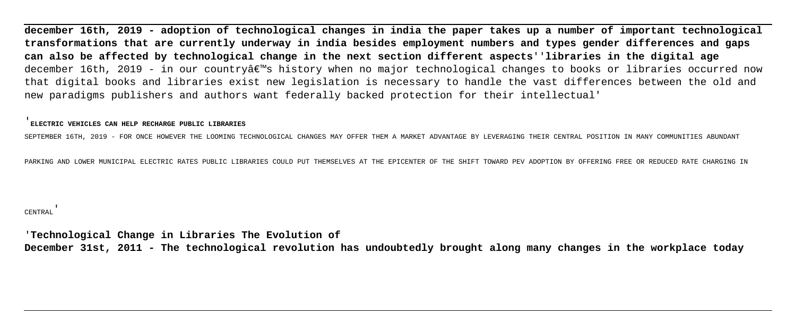**december 16th, 2019 - adoption of technological changes in india the paper takes up a number of important technological transformations that are currently underway in india besides employment numbers and types gender differences and gaps can also be affected by technological change in the next section different aspects**''**libraries in the digital age** december 16th, 2019 - in our country's history when no major technological changes to books or libraries occurred now that digital books and libraries exist new legislation is necessary to handle the vast differences between the old and new paradigms publishers and authors want federally backed protection for their intellectual'

#### '**ELECTRIC VEHICLES CAN HELP RECHARGE PUBLIC LIBRARIES**

SEPTEMBER 16TH, 2019 - FOR ONCE HOWEVER THE LOOMING TECHNOLOGICAL CHANGES MAY OFFER THEM A MARKET ADVANTAGE BY LEVERAGING THEIR CENTRAL POSITION IN MANY COMMUNITIES ABUNDANT

PARKING AND LOWER MUNICIPAL ELECTRIC RATES PUBLIC LIBRARIES COULD PUT THEMSELVES AT THE EPICENTER OF THE SHIFT TOWARD PEV ADOPTION BY OFFERING FREE OR REDUCED RATE CHARGING IN

#### CENTRAL'

'**Technological Change in Libraries The Evolution of December 31st, 2011 - The technological revolution has undoubtedly brought along many changes in the workplace today**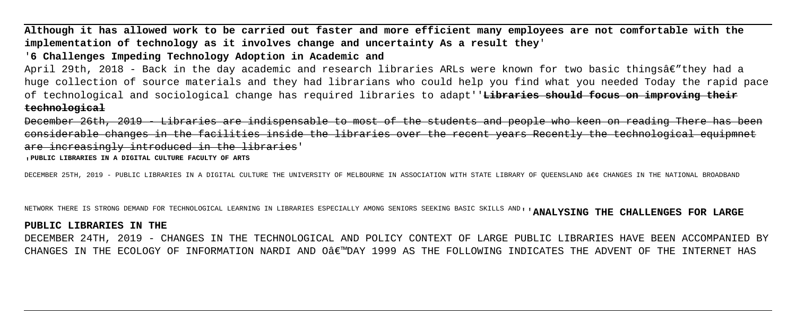**Although it has allowed work to be carried out faster and more efficient many employees are not comfortable with the implementation of technology as it involves change and uncertainty As a result they**'

# '**6 Challenges Impeding Technology Adoption in Academic and**

April 29th, 2018 - Back in the day academic and research libraries ARLs were known for two basic thingsâ $\epsilon$ "they had a huge collection of source materials and they had librarians who could help you find what you needed Today the rapid pace of technological and sociological change has required libraries to adapt''**Libraries should focus on improving their technological**

December 26th, 2019 - Libraries are indispensable to most of the students and people who keen on reading There has been considerable changes in the facilities inside the libraries over the recent years Recently the technological equipmnet are increasingly introduced in the libraries'

#### '**PUBLIC LIBRARIES IN A DIGITAL CULTURE FACULTY OF ARTS**

DECEMBER 25TH, 2019 - PUBLIC LIBRARIES IN A DIGITAL CULTURE THE UNIVERSITY OF MELBOURNE IN ASSOCIATION WITH STATE LIBRARY OF OUEENSLAND • CHANGES IN THE NATIONAL BROADBAND

NETWORK THERE IS STRONG DEMAND FOR TECHNOLOGICAL LEARNING IN LIBRARIES ESPECIALLY AMONG SENIORS SEEKING BASIC SKILLS AND''**ANALYSING THE CHALLENGES FOR LARGE**

#### **PUBLIC LIBRARIES IN THE**

DECEMBER 24TH, 2019 - CHANGES IN THE TECHNOLOGICAL AND POLICY CONTEXT OF LARGE PUBLIC LIBRARIES HAVE BEEN ACCOMPANIED BY CHANGES IN THE ECOLOGY OF INFORMATION NARDI AND OAEWDAY 1999 AS THE FOLLOWING INDICATES THE ADVENT OF THE INTERNET HAS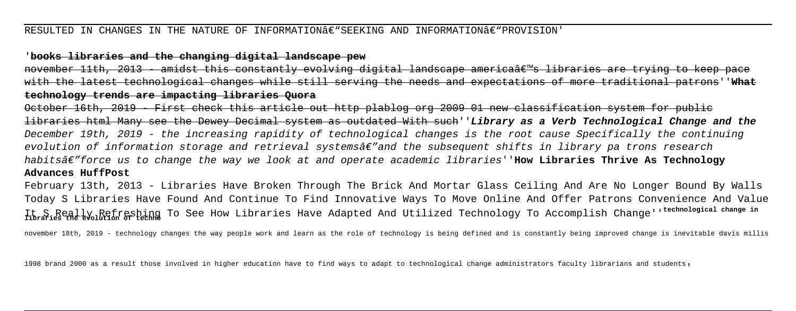### RESULTED IN CHANGES IN THE NATURE OF INFORMATION $\mathbf{\hat{\epsilon}}$ "SEEKING AND INFORMATION $\mathbf{\hat{\epsilon}}$ "PROVISION'

# '**books libraries and the changing digital landscape pew**

november 11th, 2013 - amidst this constantly evolving digital landscape americaâ $\epsilon$  s libraries are trying to keep with the latest technological changes while still serving the needs and expectations of more traditional patrons''**What technology trends are impacting libraries Quora**

October 16th, 2019 - First check this article out http plablog org 2009 01 new classification system for public libraries html Many see the Dewey Decimal system as outdated With such''**Library as a Verb Technological Change and the** December 19th, 2019 - the increasing rapidity of technological changes is the root cause Specifically the continuing evolution of information storage and retrieval systems $\hat{\bm{\alpha}} \in \mathbb{R}^n$  and the subsequent shifts in library pa trons research habits—force us to change the way we look at and operate academic libraries''**How Libraries Thrive As Technology Advances HuffPost**

February 13th, 2013 - Libraries Have Broken Through The Brick And Mortar Glass Ceiling And Are No Longer Bound By Walls Today S Libraries Have Found And Continue To Find Innovative Ways To Move Online And Offer Patrons Convenience And Value It S Really Refreshing To See How Libraries Have Adapted And Utilized Technology To Accomplish Change''**technological change in libraries the evolution of techno**

november 18th, 2019 - technology changes the way people work and learn as the role of technology is being defined and is constantly being improved change is inevitable davis millis

1998 brand 2000 as a result those involved in higher education have to find ways to adapt to technological change administrators faculty librarians and students'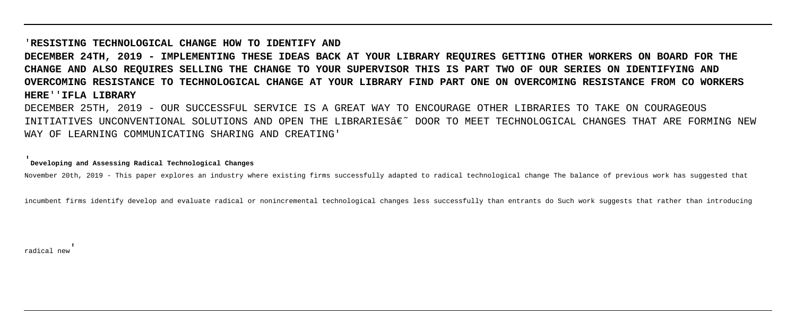# '**RESISTING TECHNOLOGICAL CHANGE HOW TO IDENTIFY AND DECEMBER 24TH, 2019 - IMPLEMENTING THESE IDEAS BACK AT YOUR LIBRARY REQUIRES GETTING OTHER WORKERS ON BOARD FOR THE CHANGE AND ALSO REQUIRES SELLING THE CHANGE TO YOUR SUPERVISOR THIS IS PART TWO OF OUR SERIES ON IDENTIFYING AND OVERCOMING RESISTANCE TO TECHNOLOGICAL CHANGE AT YOUR LIBRARY FIND PART ONE ON OVERCOMING RESISTANCE FROM CO WORKERS HERE**''**IFLA LIBRARY**

DECEMBER 25TH, 2019 - OUR SUCCESSFUL SERVICE IS A GREAT WAY TO ENCOURAGE OTHER LIBRARIES TO TAKE ON COURAGEOUS INITIATIVES UNCONVENTIONAL SOLUTIONS AND OPEN THE LIBRARIES' DOOR TO MEET TECHNOLOGICAL CHANGES THAT ARE FORMING NEW WAY OF LEARNING COMMUNICATING SHARING AND CREATING'

#### '**Developing and Assessing Radical Technological Changes**

November 20th, 2019 - This paper explores an industry where existing firms successfully adapted to radical technological change The balance of previous work has suggested that

incumbent firms identify develop and evaluate radical or nonincremental technological changes less successfully than entrants do Such work suggests that rather than introducing

radical new'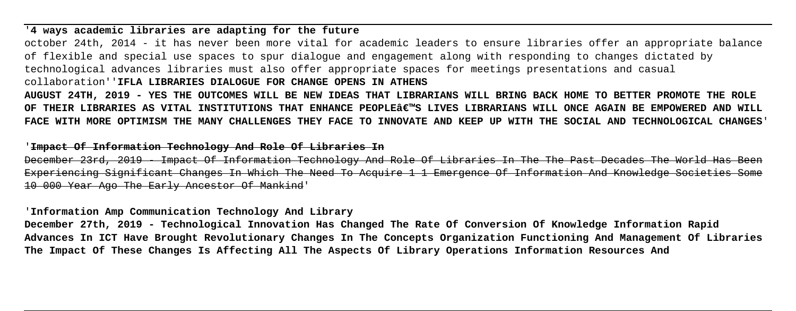# '**4 ways academic libraries are adapting for the future**

october 24th, 2014 - it has never been more vital for academic leaders to ensure libraries offer an appropriate balance of flexible and special use spaces to spur dialogue and engagement along with responding to changes dictated by technological advances libraries must also offer appropriate spaces for meetings presentations and casual collaboration''**IFLA LIBRARIES DIALOGUE FOR CHANGE OPENS IN ATHENS**

**AUGUST 24TH, 2019 - YES THE OUTCOMES WILL BE NEW IDEAS THAT LIBRARIANS WILL BRING BACK HOME TO BETTER PROMOTE THE ROLE OF THEIR LIBRARIES AS VITAL INSTITUTIONS THAT ENHANCE PEOPLE'S LIVES LIBRARIANS WILL ONCE AGAIN BE EMPOWERED AND WILL FACE WITH MORE OPTIMISM THE MANY CHALLENGES THEY FACE TO INNOVATE AND KEEP UP WITH THE SOCIAL AND TECHNOLOGICAL CHANGES**'

### '**Impact Of Information Technology And Role Of Libraries In**

December 23rd, 2019 - Impact Of Information Technology And Role Of Libraries In The The Past Decades The World Has Been Experiencing Significant Changes In Which The Need To Acquire 1 1 Emergence Of Information And Knowledge Societies 10 000 Year Ago The Early Ancestor Of Mankind'

# '**Information Amp Communication Technology And Library**

**December 27th, 2019 - Technological Innovation Has Changed The Rate Of Conversion Of Knowledge Information Rapid Advances In ICT Have Brought Revolutionary Changes In The Concepts Organization Functioning And Management Of Libraries The Impact Of These Changes Is Affecting All The Aspects Of Library Operations Information Resources And**